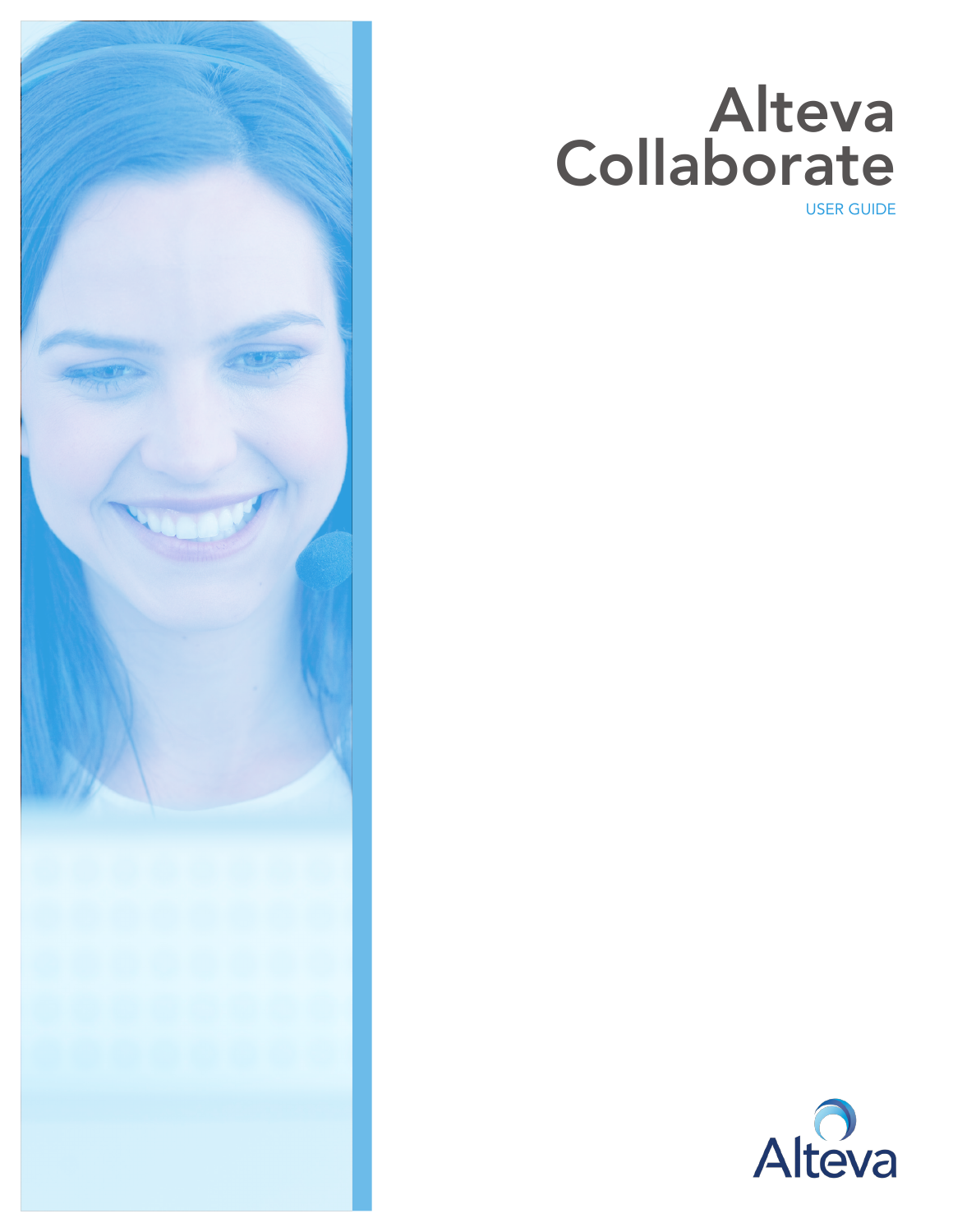

# Alteva **Collaborate**

USER GUIDE

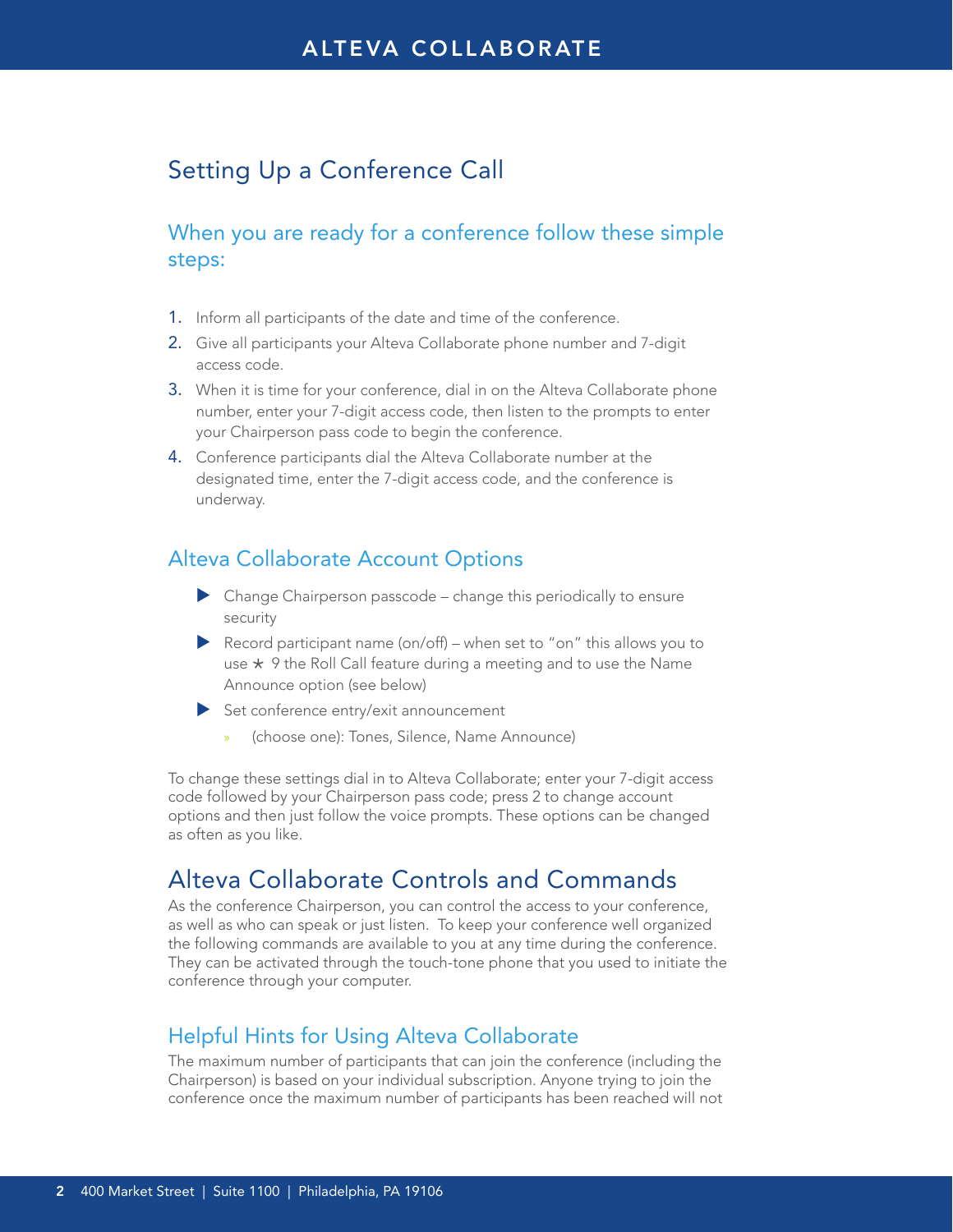# Setting Up a Conference Call

# When you are ready for a conference follow these simple steps:

- 1. Inform all participants of the date and time of the conference.
- 2. Give all participants your Alteva Collaborate phone number and 7-digit access code.
- 3. When it is time for your conference, dial in on the Alteva Collaborate phone number, enter your 7-digit access code, then listen to the prompts to enter your Chairperson pass code to begin the conference.
- 4. Conference participants dial the Alteva Collaborate number at the designated time, enter the 7-digit access code, and the conference is underway.

#### Alteva Collaborate Account Options

- $\blacktriangleright$  Change Chairperson passcode change this periodically to ensure security
- Record participant name (on/off) when set to "on" this allows you to use  $\star$  9 the Roll Call feature during a meeting and to use the Name Announce option (see below)
- $\blacktriangleright$  Set conference entry/exit announcement
	- » (choose one): Tones, Silence, Name Announce)

To change these settings dial in to Alteva Collaborate; enter your 7-digit access code followed by your Chairperson pass code; press 2 to change account options and then just follow the voice prompts. These options can be changed as often as you like.

# Alteva Collaborate Controls and Commands

As the conference Chairperson, you can control the access to your conference, as well as who can speak or just listen. To keep your conference well organized the following commands are available to you at any time during the conference. They can be activated through the touch-tone phone that you used to initiate the conference through your computer.

#### Helpful Hints for Using Alteva Collaborate

The maximum number of participants that can join the conference (including the Chairperson) is based on your individual subscription. Anyone trying to join the conference once the maximum number of participants has been reached will not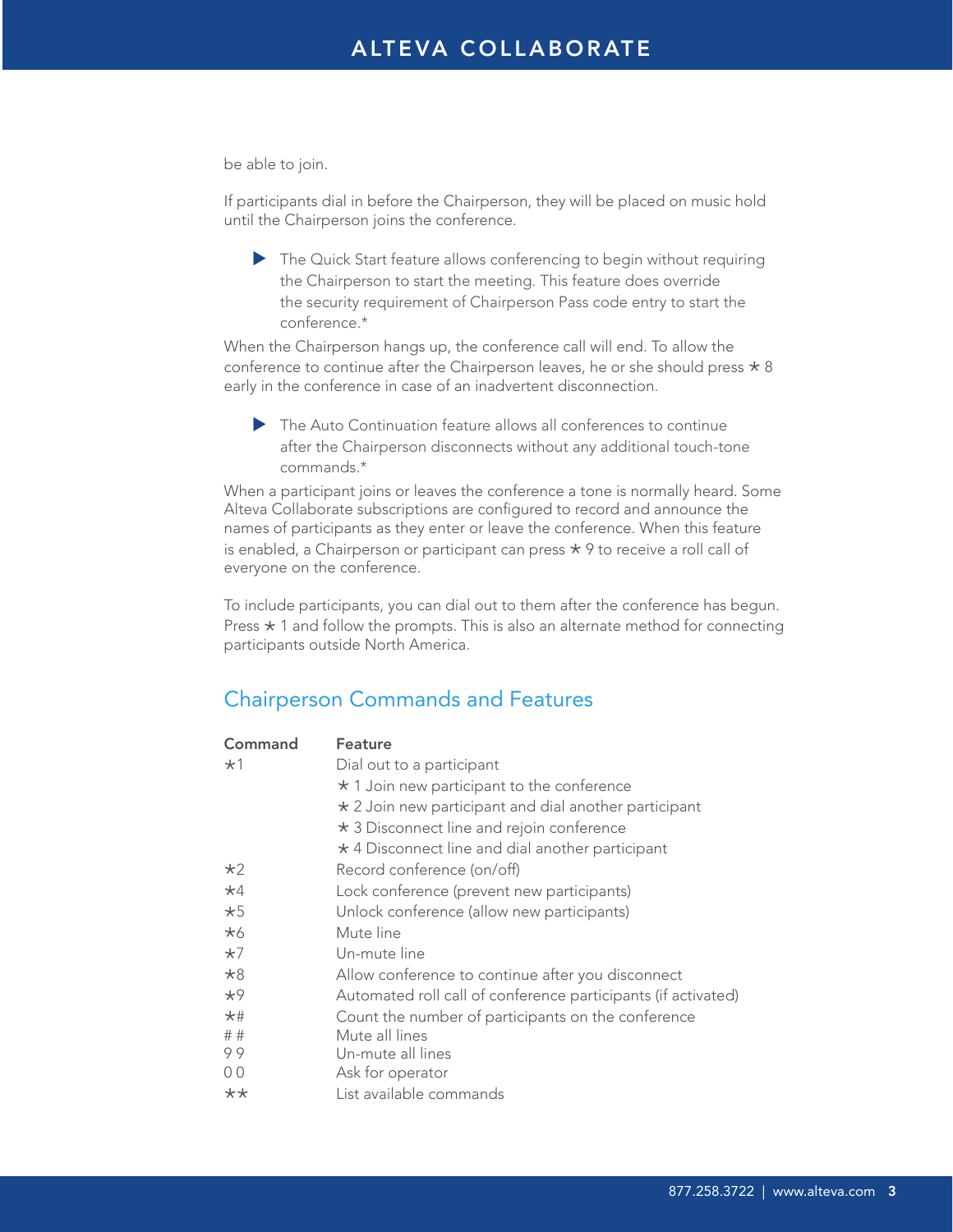be able to join.

If participants dial in before the Chairperson, they will be placed on music hold until the Chairperson joins the conference.

 $\blacktriangleright$  The Quick Start feature allows conferencing to begin without requiring the Chairperson to start the meeting. This feature does override the security requirement of Chairperson Pass code entry to start the conference.\*

When the Chairperson hangs up, the conference call will end. To allow the conference to continue after the Chairperson leaves, he or she should press  $\star$  8 early in the conference in case of an inadvertent disconnection.

 $\blacktriangleright$  The Auto Continuation feature allows all conferences to continue after the Chairperson disconnects without any additional touch-tone commands.\*

When a participant joins or leaves the conference a tone is normally heard. Some Alteva Collaborate subscriptions are configured to record and announce the names of participants as they enter or leave the conference. When this feature is enabled, a Chairperson or participant can press  $\star$  9 to receive a roll call of everyone on the conference.

To include participants, you can dial out to them after the conference has begun. Press  $\star$  1 and follow the prompts. This is also an alternate method for connecting participants outside North America.

# Chairperson Commands and Features

| Command   | Feature                                                       |
|-----------|---------------------------------------------------------------|
| $*1$      | Dial out to a participant                                     |
|           | $\star$ 1 Join new participant to the conference              |
|           | $\star$ 2 Join new participant and dial another participant   |
|           | * 3 Disconnect line and rejoin conference                     |
|           | * 4 Disconnect line and dial another participant              |
| $*2$      | Record conference (on/off)                                    |
| $*4$      | Lock conference (prevent new participants)                    |
| $*5$      | Unlock conference (allow new participants)                    |
| *6        | Mute line                                                     |
| $*7$      | Un-mute line                                                  |
| $*8$      | Allow conference to continue after you disconnect             |
| $*9$      | Automated roll call of conference participants (if activated) |
| $\star$ # | Count the number of participants on the conference            |
| ##        | Mute all lines                                                |
| 99        | Un-mute all lines                                             |
| 00        | Ask for operator                                              |
| $***$     | List available commands                                       |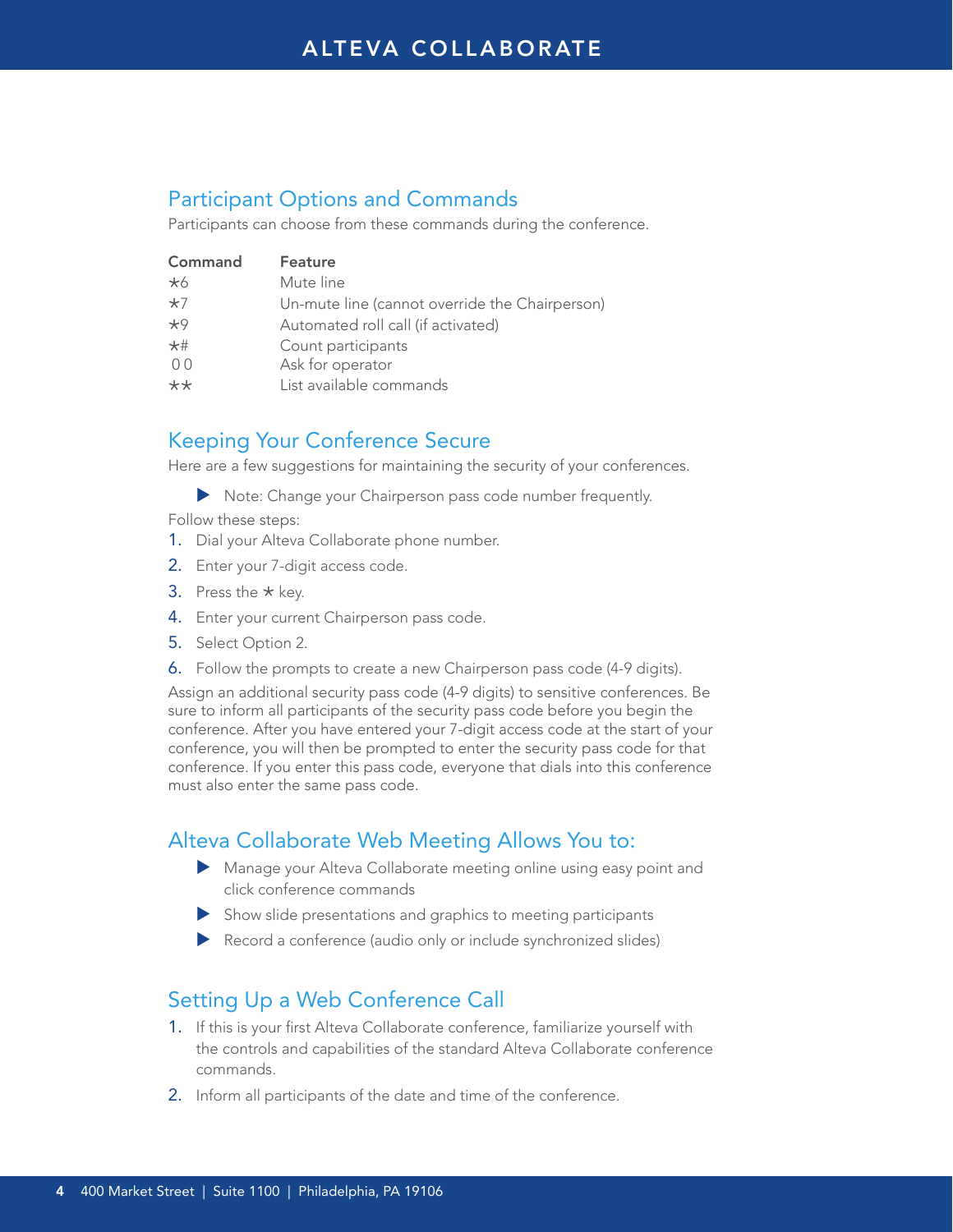## Participant Options and Commands

Participants can choose from these commands during the conference.

| Command        | Feature                                        |
|----------------|------------------------------------------------|
| $*6$           | Mute line                                      |
| $*7$           | Un-mute line (cannot override the Chairperson) |
| $*9$           | Automated roll call (if activated)             |
| $*$ #          | Count participants                             |
| 0 <sup>0</sup> | Ask for operator                               |
| $**$           | List available commands                        |
|                |                                                |

#### Keeping Your Conference Secure

Here are a few suggestions for maintaining the security of your conferences.

Note: Change your Chairperson pass code number frequently.

Follow these steps:

- 1. Dial your Alteva Collaborate phone number.
- 2. Enter your 7-digit access code.
- 3. Press the  $\star$  key.
- 4. Enter your current Chairperson pass code.
- 5. Select Option 2.
- 6. Follow the prompts to create a new Chairperson pass code (4-9 digits).

Assign an additional security pass code (4-9 digits) to sensitive conferences. Be sure to inform all participants of the security pass code before you begin the conference. After you have entered your 7-digit access code at the start of your conference, you will then be prompted to enter the security pass code for that conference. If you enter this pass code, everyone that dials into this conference must also enter the same pass code.

# Alteva Collaborate Web Meeting Allows You to:

- Manage your Alteva Collaborate meeting online using easy point and click conference commands
- $\blacktriangleright$  Show slide presentations and graphics to meeting participants
- $\blacktriangleright$  Record a conference (audio only or include synchronized slides)

#### Setting Up a Web Conference Call

- 1. If this is your first Alteva Collaborate conference, familiarize yourself with the controls and capabilities of the standard Alteva Collaborate conference commands.
- 2. Inform all participants of the date and time of the conference.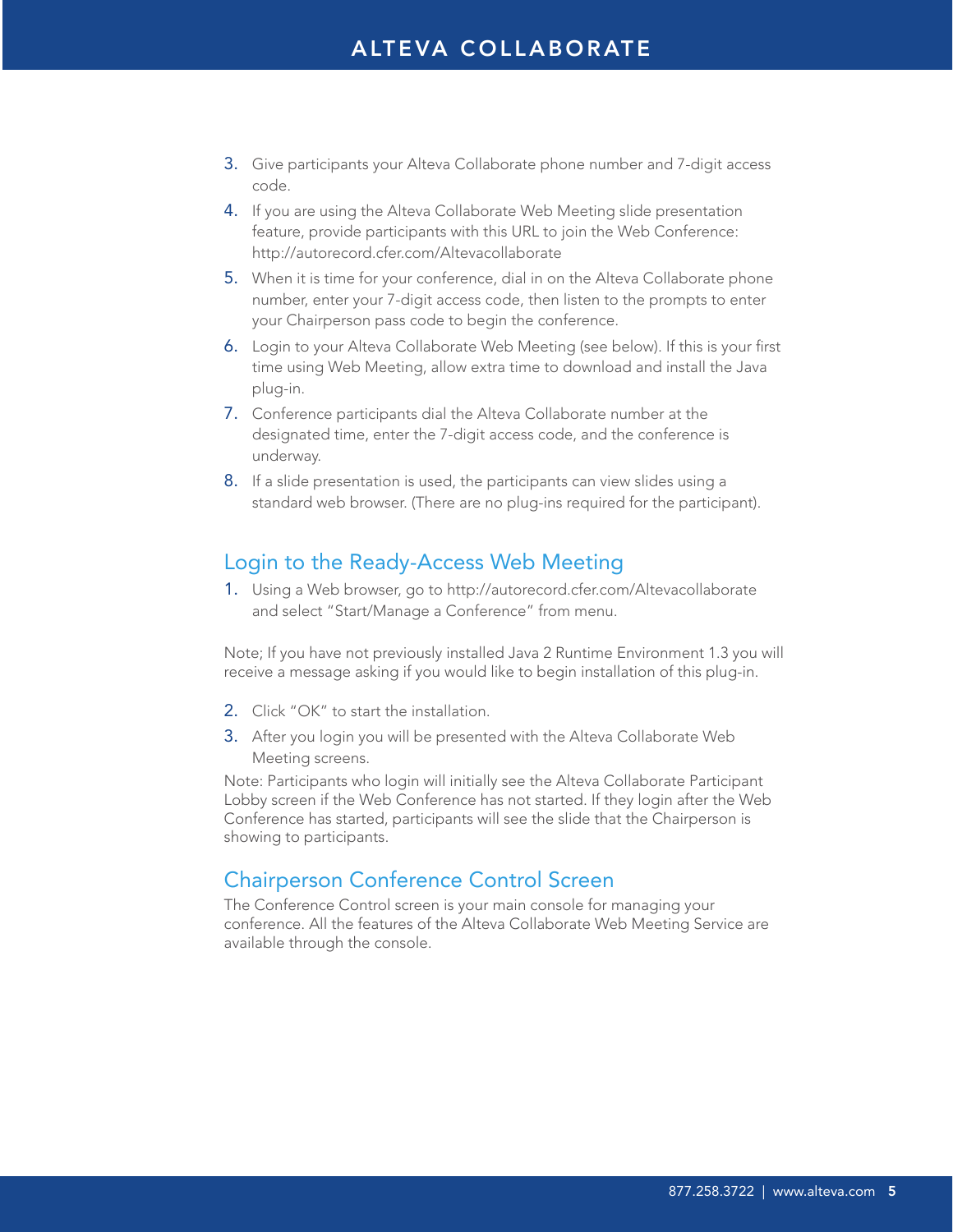# ALTEVA COLLABORATE

- 3. Give participants your Alteva Collaborate phone number and 7-digit access code.
- 4. If you are using the Alteva Collaborate Web Meeting slide presentation feature, provide participants with this URL to join the Web Conference: http://autorecord.cfer.com/Altevacollaborate
- 5. When it is time for your conference, dial in on the Alteva Collaborate phone number, enter your 7-digit access code, then listen to the prompts to enter your Chairperson pass code to begin the conference.
- 6. Login to your Alteva Collaborate Web Meeting (see below). If this is your first time using Web Meeting, allow extra time to download and install the Java plug-in.
- 7. Conference participants dial the Alteva Collaborate number at the designated time, enter the 7-digit access code, and the conference is underway.
- 8. If a slide presentation is used, the participants can view slides using a standard web browser. (There are no plug-ins required for the participant).

### Login to the Ready-Access Web Meeting

1. Using a Web browser, go to http://autorecord.cfer.com/Altevacollaborate and select "Start/Manage a Conference" from menu.

Note; If you have not previously installed Java 2 Runtime Environment 1.3 you will receive a message asking if you would like to begin installation of this plug-in.

- 2. Click "OK" to start the installation.
- 3. After you login you will be presented with the Alteva Collaborate Web Meeting screens.

Note: Participants who login will initially see the Alteva Collaborate Participant Lobby screen if the Web Conference has not started. If they login after the Web Conference has started, participants will see the slide that the Chairperson is showing to participants.

#### Chairperson Conference Control Screen

The Conference Control screen is your main console for managing your conference. All the features of the Alteva Collaborate Web Meeting Service are available through the console.